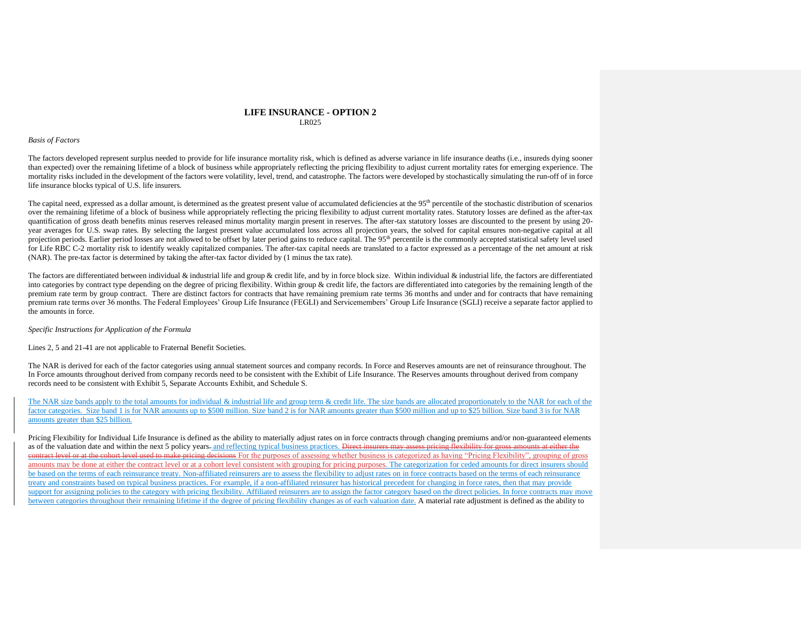## **LIFE INSURANCE - OPTION 2** LR025

## *Basis of Factors*

The factors developed represent surplus needed to provide for life insurance mortality risk, which is defined as adverse variance in life insurance deaths (i.e., insureds dying sooner than expected) over the remaining lifetime of a block of business while appropriately reflecting the pricing flexibility to adjust current mortality rates for emerging experience. The mortality risks included in the development of the factors were volatility, level, trend, and catastrophe. The factors were developed by stochastically simulating the run-off of in force life insurance blocks typical of U.S. life insurers.

The capital need, expressed as a dollar amount, is determined as the greatest present value of accumulated deficiencies at the 95<sup>th</sup> percentile of the stochastic distribution of scenarios over the remaining lifetime of a block of business while appropriately reflecting the pricing flexibility to adjust current mortality rates. Statutory losses are defined as the after-tax quantification of gross death benefits minus reserves released minus mortality margin present in reserves. The after-tax statutory losses are discounted to the present by using 20 year averages for U.S. swap rates. By selecting the largest present value accumulated loss across all projection years, the solved for capital ensures non-negative capital at all projection periods. Earlier period losses are not allowed to be offset by later period gains to reduce capital. The 95<sup>th</sup> percentile is the commonly accepted statistical safety level used for Life RBC C-2 mortality risk to identify weakly capitalized companies. The after-tax capital needs are translated to a factor expressed as a percentage of the net amount at risk (NAR). The pre-tax factor is determined by taking the after-tax factor divided by (1 minus the tax rate).

The factors are differentiated between individual & industrial life and group & credit life, and by in force block size. Within individual & industrial life, the factors are differentiated into categories by contract type depending on the degree of pricing flexibility. Within group & credit life, the factors are differentiated into categories by the remaining length of the premium rate term by group contract. There are distinct factors for contracts that have remaining premium rate terms 36 months and under and for contracts that have remaining premium rate terms over 36 months. The Federal Employees' Group Life Insurance (FEGLI) and Servicemembers' Group Life Insurance (SGLI) receive a separate factor applied to the amounts in force.

*Specific Instructions for Application of the Formula*

Lines 2, 5 and 21-41 are not applicable to Fraternal Benefit Societies.

The NAR is derived for each of the factor categories using annual statement sources and company records. In Force and Reserves amounts are net of reinsurance throughout. The In Force amounts throughout derived from company records need to be consistent with the Exhibit of Life Insurance. The Reserves amounts throughout derived from company records need to be consistent with Exhibit 5, Separate Accounts Exhibit, and Schedule S.

The NAR size bands apply to the total amounts for individual & industrial life and group term & credit life. The size bands are allocated proportionately to the NAR for each of the factor categories. Size band 1 is for NAR amounts up to \$500 million. Size band 2 is for NAR amounts greater than \$500 million and up to \$25 billion. Size band 3 is for NAR amounts greater than \$25 billion.

Pricing Flexibility for Individual Life Insurance is defined as the ability to materially adjust rates on in force contracts through changing premiums and/or non-guaranteed elements as of the valuation date and within the next 5 policy years. and reflecting typical business practices. Direct insurers may assess pricing flexibility for gross amounts at either the contract level or at the cohort level used to make pricing decisions For the purposes of assessing whether business is categorized as having "Pricing Flexibility", grouping of gross amounts may be done at either the contract level or at a cohort level consistent with grouping for pricing purposes. The categorization for ceded amounts for direct insurers should be based on the terms of each reinsurance treaty. Non-affiliated reinsurers are to assess the flexibility to adjust rates on in force contracts based on the terms of each reinsurance treaty and constraints based on typical business practices. For example, if a non-affiliated reinsurer has historical precedent for changing in force rates, then that may provide support for assigning policies to the category with pricing flexibility. Affiliated reinsurers are to assign the factor category based on the direct policies. In force contracts may move between categories throughout their remaining lifetime if the degree of pricing flexibility changes as of each valuation date. A material rate adjustment is defined as the ability to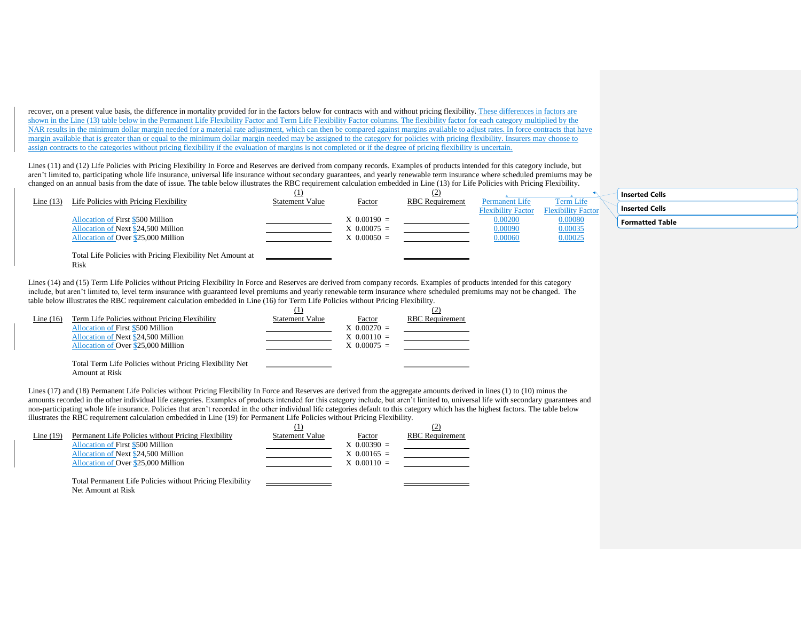recover, on a present value basis, the difference in mortality provided for in the factors below for contracts with and without pricing flexibility. These differences in factors are shown in the Line (13) table below in the Permanent Life Flexibility Factor and Term Life Flexibility Factor columns. The flexibility factor for each category multiplied by the NAR results in the minimum dollar margin needed for a material rate adjustment, which can then be compared against margins available to adjust rates. In force contracts that have margin available that is greater than or equal to the minimum dollar margin needed may be assigned to the category for policies with pricing flexibility. Insurers may choose to assign contracts to the categories without pricing flexibility if the evaluation of margins is not completed or if the degree of pricing flexibility is uncertain.

Lines (11) and (12) Life Policies with Pricing Flexibility In Force and Reserves are derived from company records. Examples of products intended for this category include, but aren't limited to, participating whole life insurance, universal life insurance without secondary guarantees, and yearly renewable term insurance where scheduled premiums may be changed on an annual basis from the date of issue. The table below illustrates the RBC requirement calculation embedded in Line (13) for Life Policies with Pricing Flexibility.

|             |                                                            | $_{\rm \scriptscriptstyle 41}$ |                  |                        |                           |                           |  |
|-------------|------------------------------------------------------------|--------------------------------|------------------|------------------------|---------------------------|---------------------------|--|
| Line $(13)$ | Life Policies with Pricing Flexibility                     | <b>Statement Value</b>         | Factor           | <b>RBC</b> Requirement | Permanent Life            | Term Life                 |  |
|             |                                                            |                                |                  |                        | <b>Flexibility Factor</b> | <b>Flexibility Factor</b> |  |
|             | Allocation of First \$500 Million                          |                                | $X$ 0.00190 =    |                        | 0.00200                   | 0.00080                   |  |
|             | Allocation of Next \$24,500 Million                        |                                | $X\ 0.00075 =$   |                        | 0.00090                   | 0.00035                   |  |
|             | Allocation of Over \$25,000 Million                        |                                | $X \, 0.00050 =$ |                        | 0.00060                   | 0.00025                   |  |
|             |                                                            |                                |                  |                        |                           |                           |  |
|             | Total Life Policies with Pricing Flexibility Net Amount at |                                |                  |                        |                           |                           |  |
|             | Risk                                                       |                                |                  |                        |                           |                           |  |

| <b>Inserted Cells</b> |  |
|-----------------------|--|
|                       |  |

**Inserted Cells**

**Formatted Table**

Lines (14) and (15) Term Life Policies without Pricing Flexibility In Force and Reserves are derived from company records. Examples of products intended for this category include, but aren't limited to, level term insurance with guaranteed level premiums and yearly renewable term insurance where scheduled premiums may not be changed. The table below illustrates the RBC requirement calculation embedded in Line (16) for Term Life Policies without Pricing Flexibility.

|             |                                                          |                        |               | (2)                    |
|-------------|----------------------------------------------------------|------------------------|---------------|------------------------|
| Line $(16)$ | Term Life Policies without Pricing Flexibility           | <b>Statement Value</b> | Factor        | <b>RBC</b> Requirement |
|             | <b>Allocation of First \$500 Million</b>                 |                        | $X$ 0.00270 = |                        |
|             | Allocation of Next \$24,500 Million                      |                        | $X$ 0.00110 = |                        |
|             | Allocation of Over \$25,000 Million                      |                        | $X$ 0.00075 = |                        |
|             |                                                          |                        |               |                        |
|             | Total Term Life Policies without Pricing Flexibility Net |                        |               |                        |
|             | $ -$                                                     |                        |               |                        |

Amount at Risk

Lines (17) and (18) Permanent Life Policies without Pricing Flexibility In Force and Reserves are derived from the aggregate amounts derived in lines (1) to (10) minus the amounts recorded in the other individual life categories. Examples of products intended for this category include, but aren't limited to, universal life with secondary guarantees and non-participating whole life insurance. Policies that aren't recorded in the other individual life categories default to this category which has the highest factors. The table below illustrates the RBC requirement calculation embedded in Line (19) for Permanent Life Policies without Pricing Flexibility.

|             |                                                           | (1)                    |               | (2)                    |
|-------------|-----------------------------------------------------------|------------------------|---------------|------------------------|
| Line $(19)$ | Permanent Life Policies without Pricing Flexibility       | <b>Statement Value</b> | Factor        | <b>RBC</b> Requirement |
|             | Allocation of First \$500 Million                         |                        | $X$ 0.00390 = |                        |
|             | Allocation of Next \$24,500 Million                       |                        | $X$ 0.00165 = |                        |
|             | Allocation of Over \$25,000 Million                       |                        | $X$ 0.00110 = |                        |
|             | Total Permanent Life Policies without Pricing Flexibility |                        |               |                        |
|             | Net Amount at Risk                                        |                        |               |                        |